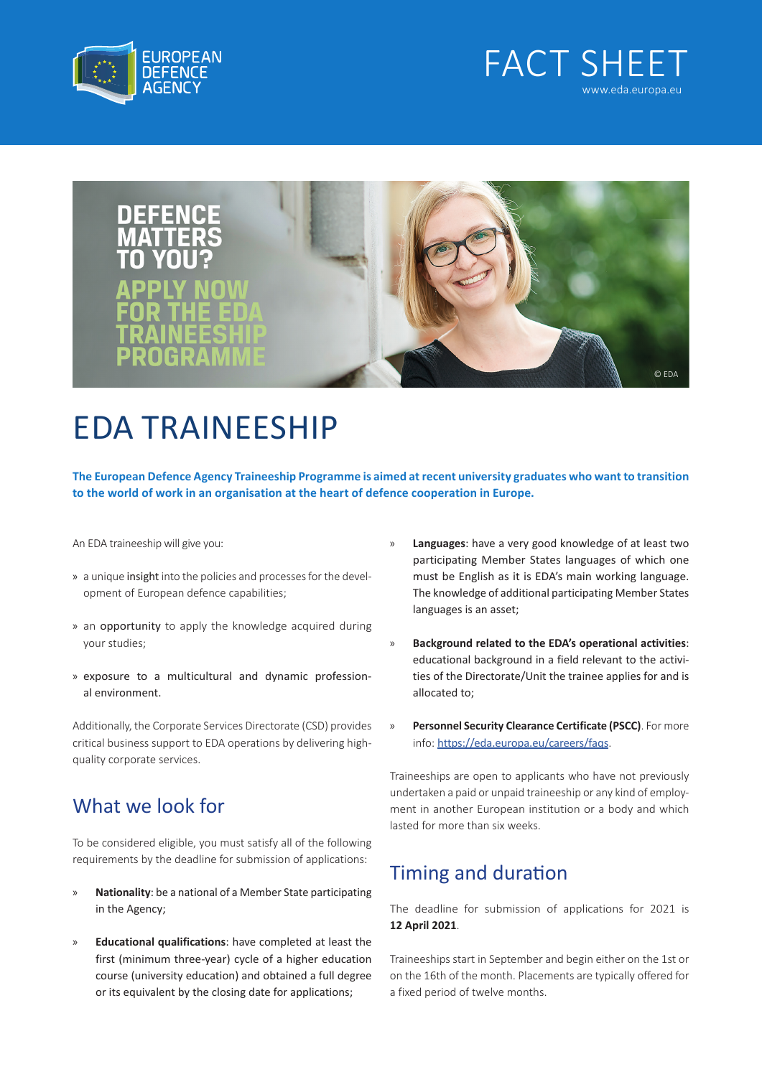





## EDA TRAINEESHIP

**The European Defence Agency Traineeship Programme is aimed at recent university graduates who want to transition to the world of work in an organisation at the heart of defence cooperation in Europe.**

An EDA traineeship will give you:

- » a unique insight into the policies and processes for the development of European defence capabilities;
- » an opportunity to apply the knowledge acquired during your studies;
- » exposure to a multicultural and dynamic professional environment.

Additionally, the Corporate Services Directorate (CSD) provides critical business support to EDA operations by delivering highquality corporate services.

## What we look for

To be considered eligible, you must satisfy all of the following requirements by the deadline for submission of applications:

- » **Nationality**: be a national of a Member State participating in the Agency;
- » **Educational qualifications**: have completed at least the first (minimum three-year) cycle of a higher education course (university education) and obtained a full degree or its equivalent by the closing date for applications;
- » **Languages**: have a very good knowledge of at least two participating Member States languages of which one must be English as it is EDA's main working language. The knowledge of additional participating Member States languages is an asset;
- » **Background related to the EDA's operational activities**: educational background in a field relevant to the activities of the Directorate/Unit the trainee applies for and is allocated to;
- » **Personnel Security Clearance Certificate (PSCC)**. For more info: [https://eda.europa.eu/careers/faqs](https://www.eda.europa.eu/jobs/faqs).

Traineeships are open to applicants who have not previously undertaken a paid or unpaid traineeship or any kind of employment in another European institution or a body and which lasted for more than six weeks.

## Timing and duration

The deadline for submission of applications for 2021 is **12 April 2021**.

Traineeships start in September and begin either on the 1st or on the 16th of the month. Placements are typically offered for a fixed period of twelve months.